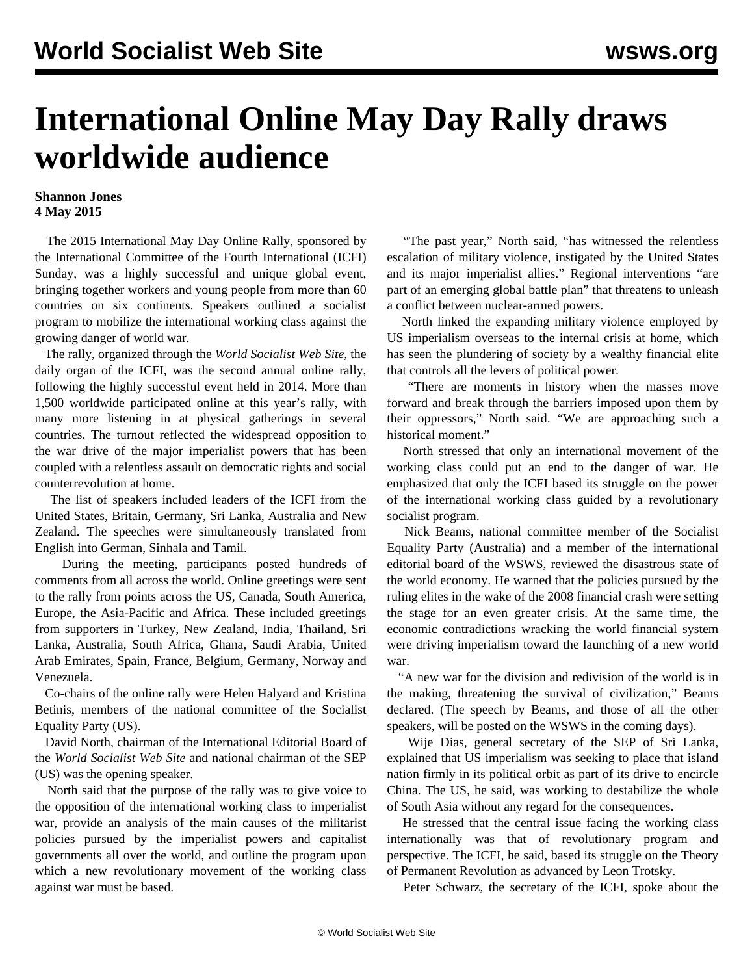## **International Online May Day Rally draws worldwide audience**

## **Shannon Jones 4 May 2015**

 The 2015 International May Day Online Rally, sponsored by the International Committee of the Fourth International (ICFI) Sunday, was a highly successful and unique global event, bringing together workers and young people from more than 60 countries on six continents. Speakers outlined a socialist program to mobilize the international working class against the growing danger of world war.

 The rally, organized through the *World Socialist Web Site*, the daily organ of the ICFI, was the second annual online rally, following the highly successful event held in 2014. More than 1,500 worldwide participated online at this year's rally, with many more listening in at physical gatherings in several countries. The turnout reflected the widespread opposition to the war drive of the major imperialist powers that has been coupled with a relentless assault on democratic rights and social counterrevolution at home.

 The list of speakers included leaders of the ICFI from the United States, Britain, Germany, Sri Lanka, Australia and New Zealand. The speeches were simultaneously translated from English into German, Sinhala and Tamil.

 During the meeting, participants posted hundreds of comments from all across the world. Online greetings were sent to the rally from points across the US, Canada, South America, Europe, the Asia-Pacific and Africa. These included greetings from supporters in Turkey, New Zealand, India, Thailand, Sri Lanka, Australia, South Africa, Ghana, Saudi Arabia, United Arab Emirates, Spain, France, Belgium, Germany, Norway and Venezuela.

 Co-chairs of the online rally were Helen Halyard and Kristina Betinis, members of the national committee of the Socialist Equality Party (US).

 David North, chairman of the International Editorial Board of the *World Socialist Web Site* and national chairman of the SEP (US) was the [opening speaker](/en/articles/2015/05/04/pers-m04.html).

 North said that the purpose of the rally was to give voice to the opposition of the international working class to imperialist war, provide an analysis of the main causes of the militarist policies pursued by the imperialist powers and capitalist governments all over the world, and outline the program upon which a new revolutionary movement of the working class against war must be based.

 "The past year," North said, "has witnessed the relentless escalation of military violence, instigated by the United States and its major imperialist allies." Regional interventions "are part of an emerging global battle plan" that threatens to unleash a conflict between nuclear-armed powers.

 North linked the expanding military violence employed by US imperialism overseas to the internal crisis at home, which has seen the plundering of society by a wealthy financial elite that controls all the levers of political power.

 "There are moments in history when the masses move forward and break through the barriers imposed upon them by their oppressors," North said. "We are approaching such a historical moment."

 North stressed that only an international movement of the working class could put an end to the danger of war. He emphasized that only the ICFI based its struggle on the power of the international working class guided by a revolutionary socialist program.

 Nick Beams, national committee member of the Socialist Equality Party (Australia) and a member of the international editorial board of the WSWS, reviewed the disastrous state of the world economy. He warned that the policies pursued by the ruling elites in the wake of the 2008 financial crash were setting the stage for an even greater crisis. At the same time, the economic contradictions wracking the world financial system were driving imperialism toward the launching of a new world war.

 "A new war for the division and redivision of the world is in the making, threatening the survival of civilization," Beams declared. (The speech by Beams, and those of all the other speakers, will be posted on the WSWS in the coming days).

 Wije Dias, general secretary of the SEP of Sri Lanka, explained that US imperialism was seeking to place that island nation firmly in its political orbit as part of its drive to encircle China. The US, he said, was working to destabilize the whole of South Asia without any regard for the consequences.

 He stressed that the central issue facing the working class internationally was that of revolutionary program and perspective. The ICFI, he said, based its struggle on the Theory of Permanent Revolution as advanced by Leon Trotsky.

Peter Schwarz, the secretary of the ICFI, spoke about the